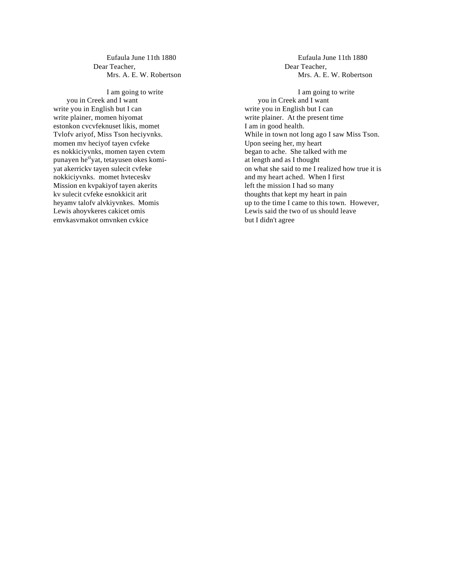Eufaula June 11th 1880 Dear Teacher, Mrs. A. E. W. Robertson

I am going to write you in Creek and I want write you in English but I can write plainer, momen hiyomat estonkon cvcvfeknuset likis, momet Tvlofv ariyof, Miss Tson heciyvnks. momen mv heciyof tayen cvfeke es nokkiciyvnks, momen tayen cvtem punayen he<sup>ci</sup>yat, tetayusen okes komiyat akerrickv tayen sulecit cvfeke nokkiciyvnks. momet hvteceskv Mission en kvpakiyof tayen akerits kv sulecit cvfeke esnokkicit arit heyamv talofv alvkiyvnkes. Momis Lewis ahoyvkeres cakicet omis emvkasvmakot omvnken cvkice

Eufaula June 11th 1880 Dear Teacher, Mrs. A. E. W. Robertson

I am going to write you in Creek and I want write you in English but I can write plainer. At the present time I am in good health. While in town not long ago I saw Miss Tson. Upon seeing her, my heart began to ache. She talked with me at length and as I thought on what she said to me I realized how true it is and my heart ached. When I first left the mission I had so many thoughts that kept my heart in pain up to the time I came to this town. However, Lewis said the two of us should leave but I didn't agree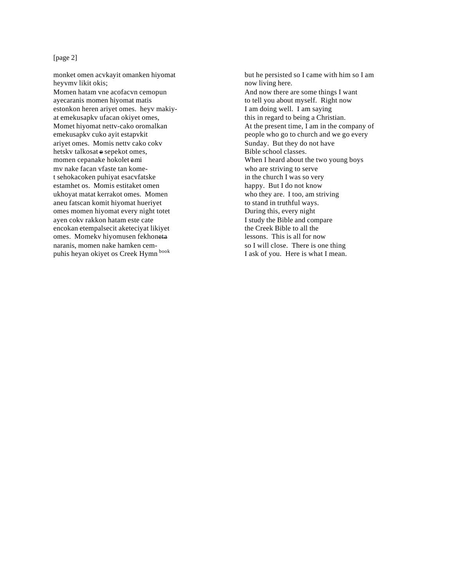## [page 2]

monket omen acvkayit omanken hiyomat heyvmv likit okis; Momen hatam vne acofacvn cemopun ayecaranis momen hiyomat matis estonkon heren ariyet omes. heyv makiyat emekusapkv ufacan okiyet omes, Momet hiyomat nettv-cako oromalkan emekusapkv cuko ayit estapvkit ariyet omes. Momis nettv cako cokv hetskv talkosat e sepekot omes, momen cepanake hokolet emi mv nake facan vfaste tan komet sehokacoken puhiyat esacvfatske estamhet os. Momis estitaket omen ukhoyat matat kerrakot omes. Momen aneu fatscan komit hiyomat hueriyet omes momen hiyomat every night totet ayen cokv rakkon hatam este cate encokan etempalsecit aketeciyat likiyet omes. Momekv hiyomusen fekhoneta naranis, momen nake hamken cempuhis heyan okiyet os Creek Hymn<sup>book</sup>

but he persisted so I came with him so I am now living here. And now there are some things I want to tell you about myself. Right now I am doing well. I am saying this in regard to being a Christian. At the present time, I am in the company of people who go to church and we go every Sunday. But they do not have Bible school classes. When I heard about the two young boys who are striving to serve in the church I was so very happy. But I do not know who they are. I too, am striving to stand in truthful ways. During this, every night I study the Bible and compare the Creek Bible to all the lessons. This is all for now so I will close. There is one thing I ask of you. Here is what I mean.